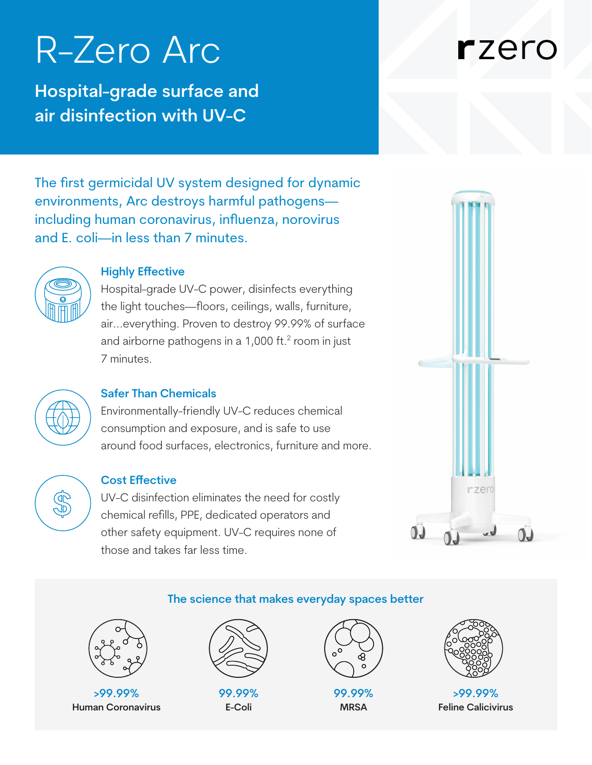## R-Zero Arc

**Hospital-grade surface and air disinfection with UV-C**

## rzero

The first germicidal UV system designed for dynamic environments, Arc destroys harmful pathogens including human coronavirus, influenza, norovirus and E. coli—in less than 7 minutes.



#### **Highly Effective**

Hospital-grade UV-C power, disinfects everything the light touches—floors, ceilings, walls, furniture, air...everything. Proven to destroy 99.99% of surface and airborne pathogens in a  $1,000$  ft. $<sup>2</sup>$  room in just</sup> 7 minutes.



#### **Safer Than Chemicals**

Environmentally-friendly UV-C reduces chemical consumption and exposure, and is safe to use around food surfaces, electronics, furniture and more.

# **GD**<br>GD

#### **Cost Effective**

UV-C disinfection eliminates the need for costly chemical refills, PPE, dedicated operators and other safety equipment. UV-C requires none of those and takes far less time.



#### **The science that makes everyday spaces better**



**>99.99% Human Coronavirus**



**99.99% E-Coli**



**99.99% MRSA**



**>99.99% Feline Calicivirus**